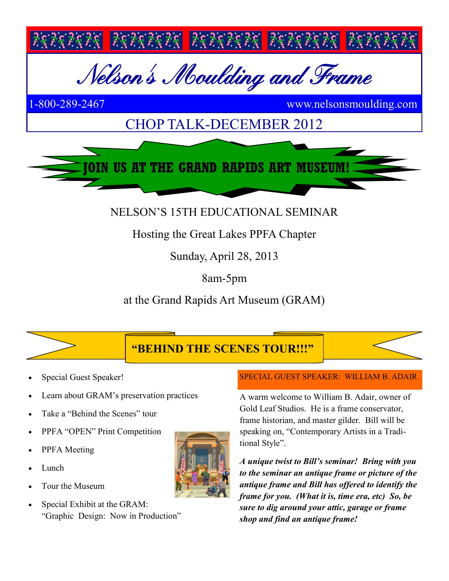

## NELSON'S 15TH EDUCATIONAL SEMINAR

# Hosting the Great Lakes PPFA Chapter

Sunday, April 28, 2013

8am-5pm

at the Grand Rapids Art Museum (GRAM)





- Learn about GRAM's preservation practices
- Take a "Behind the Scenes" tour
- PPFA "OPEN" Print Competition
- PPFA Meeting
- Lunch
- Tour the Museum
- Special Exhibit at the GRAM: "Graphic Design: Now in Production"

#### SPECIAL GUEST SPEAKER: WILLIAM B. ADAIR

A warm welcome to William B. Adair, owner of Gold Leaf Studios. He is a frame conservator, frame historian, and master gilder. Bill will be speaking on, "Contemporary Artists in a Traditional Style".

*A unique twist to Bill's seminar! Bring with you to the seminar an antique frame or picture of the antique frame and Bill has offered to identify the frame for you. (What it is, time era, etc) So, be sure to dig around your attic, garage or frame shop and find an antique frame!*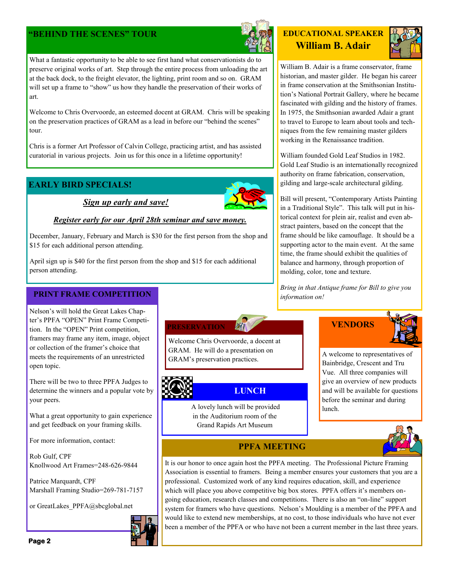### **"BEHIND THE SCENES" TOUR**



**EDUCATIONAL SPEAKER William B. Adair**



William B. Adair is a frame conservator, frame historian, and master gilder. He began his career in frame conservation at the Smithsonian Institution's National Portrait Gallery, where he became fascinated with gilding and the history of frames. In 1975, the Smithsonian awarded Adair a grant to travel to Europe to learn about tools and techniques from the few remaining master gilders working in the Renaissance tradition.

William founded Gold Leaf Studios in 1982. Gold Leaf Studio is an internationally recognized authority on frame fabrication, conservation, gilding and large-scale architectural gilding.

Bill will present, "Contemporary Artists Painting in a Traditional Style". This talk will put in historical context for plein air, realist and even abstract painters, based on the concept that the frame should be like camouflage. It should be a supporting actor to the main event. At the same time, the frame should exhibit the qualities of balance and harmony, through proportion of molding, color, tone and texture.

*Bring in that Antique frame for Bill to give you information on!*



A welcome to representatives of Bainbridge, Crescent and Tru Vue. All three companies will give an overview of new products and will be available for questions before the seminar and during lunch.



### **PPFA MEETING**

A lovely lunch will be provided in the Auditorium room of the Grand Rapids Art Museum

Welcome Chris Overvoorde, a docent at GRAM. He will do a presentation on GRAM's preservation practices.

**PRESERVATION**

**LUNCH**

It is our honor to once again host the PPFA meeting. The Professional Picture Framing Association is essential to framers. Being a member ensures your customers that you are a professional. Customized work of any kind requires education, skill, and experience which will place you above competitive big box stores. PPFA offers it's members ongoing education, research classes and competitions. There is also an "on-line" support system for framers who have questions. Nelson's Moulding is a member of the PPFA and would like to extend new memberships, at no cost, to those individuals who have not ever been a member of the PPFA or who have not been a current member in the last three years.

What a fantastic opportunity to be able to see first hand what conservationists do to preserve original works of art. Step through the entire process from unloading the art at the back dock, to the freight elevator, the lighting, print room and so on. GRAM will set up a frame to "show" us how they handle the preservation of their works of art.

Welcome to Chris Overvoorde, an esteemed docent at GRAM. Chris will be speaking on the preservation practices of GRAM as a lead in before our "behind the scenes" tour.

Chris is a former Art Professor of Calvin College, practicing artist, and has assisted curatorial in various projects. Join us for this once in a lifetime opportunity!

### **EARLY BIRD SPECIALS!**

*Sign up early and save!*

#### *Register early for our April 28th seminar and save money.*

December, January, February and March is \$30 for the first person from the shop and \$15 for each additional person attending.

April sign up is \$40 for the first person from the shop and \$15 for each additional person attending.

#### **PRINT FRAME COMPETITION**

Nelson's will hold the Great Lakes Chapter's PPFA "OPEN" Print Frame Competition. In the "OPEN" Print competition, framers may frame any item, image, object or collection of the framer's choice that meets the requirements of an unrestricted open topic.

There will be two to three PPFA Judges to determine the winners and a popular vote by your peers.

What a great opportunity to gain experience and get feedback on your framing skills.

For more information, contact:

Rob Gulf, CPF Knollwood Art Frames=248-626-9844

Patrice Marquardt, CPF Marshall Framing Studio=269-781-7157

or GreatLakes\_PPFA@sbcglobal.net



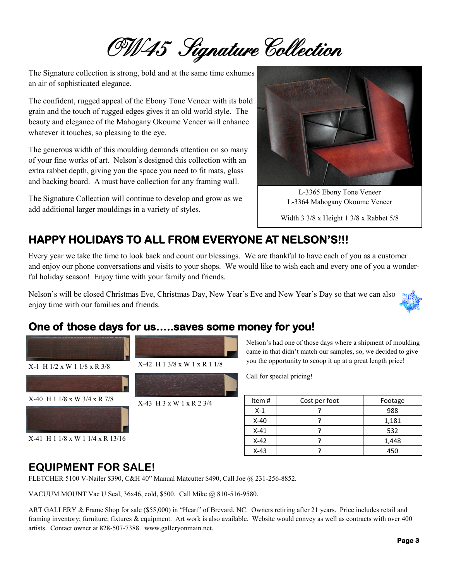OW45 Signature Collection

The Signature collection is strong, bold and at the same time exhumes an air of sophisticated elegance.

The confident, rugged appeal of the Ebony Tone Veneer with its bold grain and the touch of rugged edges gives it an old world style. The beauty and elegance of the Mahogany Okoume Veneer will enhance whatever it touches, so pleasing to the eye.

The generous width of this moulding demands attention on so many of your fine works of art. Nelson's designed this collection with an extra rabbet depth, giving you the space you need to fit mats, glass and backing board. A must have collection for any framing wall.

The Signature Collection will continue to develop and grow as we add additional larger mouldings in a variety of styles.



L-3365 Ebony Tone Veneer L-3364 Mahogany Okoume Veneer

Width 3 3/8 x Height 1 3/8 x Rabbet 5/8

### **HAPPY HOLIDAYS TO ALL FROM EVERYONE AT NELSON'S!!!**

Every year we take the time to look back and count our blessings. We are thankful to have each of you as a customer and enjoy our phone conversations and visits to your shops. We would like to wish each and every one of you a wonderful holiday season! Enjoy time with your family and friends.

Nelson's will be closed Christmas Eve, Christmas Day, New Year's Eve and New Year's Day so that we can also enjoy time with our families and friends.

### **One of those days for us…..saves some money for you!**



Nelson's had one of those days where a shipment of moulding came in that didn't match our samples, so, we decided to give you the opportunity to scoop it up at a great length price!

Call for special pricing!

| Item#  | Cost per foot | Footage |
|--------|---------------|---------|
| $X-1$  |               | 988     |
| $X-40$ |               | 1,181   |
| $X-41$ |               | 532     |
| $X-42$ |               | 1,448   |
| $X-43$ |               | 450     |

### **EQUIPMENT FOR SALE!**

FLETCHER 5100 V-Nailer \$390, C&H 40" Manual Matcutter \$490, Call Joe @ 231-256-8852.

VACUUM MOUNT Vac U Seal, 36x46, cold, \$500. Call Mike @ 810-516-9580.

ART GALLERY & Frame Shop for sale (\$55,000) in "Heart" of Brevard, NC. Owners retiring after 21 years. Price includes retail and framing inventory; furniture; fixtures & equipment. Art work is also available. Website would convey as well as contracts with over 400 artists. Contact owner at 828-507-7388. www.galleryonmain.net.